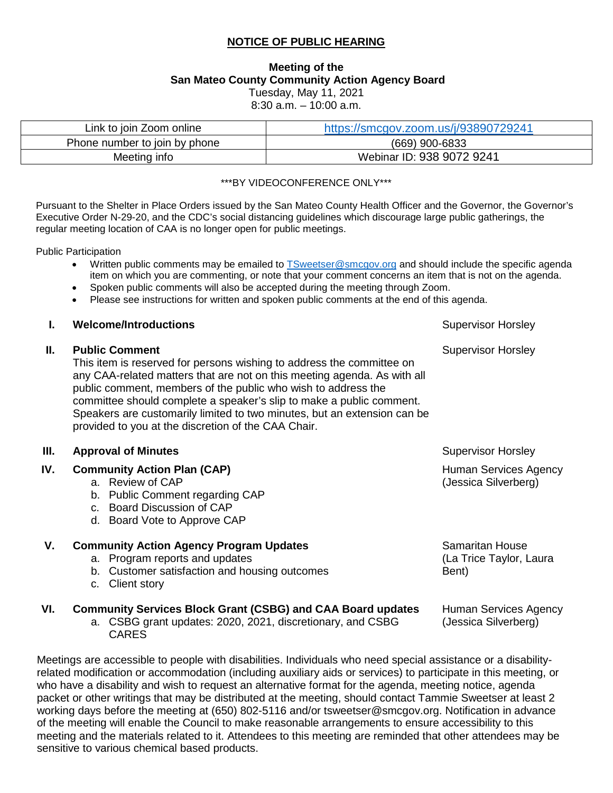# **NOTICE OF PUBLIC HEARING**

## **Meeting of the San Mateo County Community Action Agency Board**  Tuesday, May 11, 2021

8:30 a.m. – 10:00 a.m.

| Link to join Zoom online      | https://smcgov.zoom.us/j/93890729241 |  |
|-------------------------------|--------------------------------------|--|
| Phone number to join by phone | (669) 900-6833                       |  |
| Meeting info                  | Webinar ID: 938 9072 9241            |  |

#### \*\*\*BY VIDEOCONFERENCE ONLY\*\*\*

Pursuant to the Shelter in Place Orders issued by the San Mateo County Health Officer and the Governor, the Governor's Executive Order N-29-20, and the CDC's social distancing guidelines which discourage large public gatherings, the regular meeting location of CAA is no longer open for public meetings.

Public Participation

- Written public comments may be emailed to **TSweetser@smcgov.org** and should include the specific agenda item on which you are commenting, or note that your comment concerns an item that is not on the agenda.
- Spoken public comments will also be accepted during the meeting through Zoom.
- Please see instructions for written and spoken public comments at the end of this agenda.

|     | <b>Welcome/Introductions</b>                                                                                                                                                                                                                                                                                                                                                                                                                           | <b>Supervisor Horsley</b>                            |
|-----|--------------------------------------------------------------------------------------------------------------------------------------------------------------------------------------------------------------------------------------------------------------------------------------------------------------------------------------------------------------------------------------------------------------------------------------------------------|------------------------------------------------------|
| Ш.  | <b>Public Comment</b><br>This item is reserved for persons wishing to address the committee on<br>any CAA-related matters that are not on this meeting agenda. As with all<br>public comment, members of the public who wish to address the<br>committee should complete a speaker's slip to make a public comment.<br>Speakers are customarily limited to two minutes, but an extension can be<br>provided to you at the discretion of the CAA Chair. | <b>Supervisor Horsley</b>                            |
| Ш.  | <b>Approval of Minutes</b>                                                                                                                                                                                                                                                                                                                                                                                                                             | <b>Supervisor Horsley</b>                            |
| IV. | <b>Community Action Plan (CAP)</b><br>a. Review of CAP<br>b. Public Comment regarding CAP<br>c. Board Discussion of CAP                                                                                                                                                                                                                                                                                                                                | <b>Human Services Agency</b><br>(Jessica Silverberg) |

- 
- d. Board Vote to Approve CAP

| <b>Community Action Agency Program Updates</b> |                                               | <b>Samaritan House</b>  |  |
|------------------------------------------------|-----------------------------------------------|-------------------------|--|
|                                                | a. Program reports and updates                | (La Trice Taylor, Laura |  |
|                                                | b. Customer satisfaction and housing outcomes | Bent)                   |  |
|                                                | c. Client story                               |                         |  |
|                                                |                                               |                         |  |

Human Services Agency (Jessica Silverberg)

#### **VI. Community Services Block Grant (CSBG) and CAA Board updates**

a. CSBG grant updates: 2020, 2021, discretionary, and CSBG **CARES** 

Meetings are accessible to people with disabilities. Individuals who need special assistance or a disabilityrelated modification or accommodation (including auxiliary aids or services) to participate in this meeting, or who have a disability and wish to request an alternative format for the agenda, meeting notice, agenda packet or other writings that may be distributed at the meeting, should contact Tammie Sweetser at least 2 working days before the meeting at (650) 802-5116 and/or tsweetser@smcgov.org. Notification in advance of the meeting will enable the Council to make reasonable arrangements to ensure accessibility to this meeting and the materials related to it. Attendees to this meeting are reminded that other attendees may be sensitive to various chemical based products.